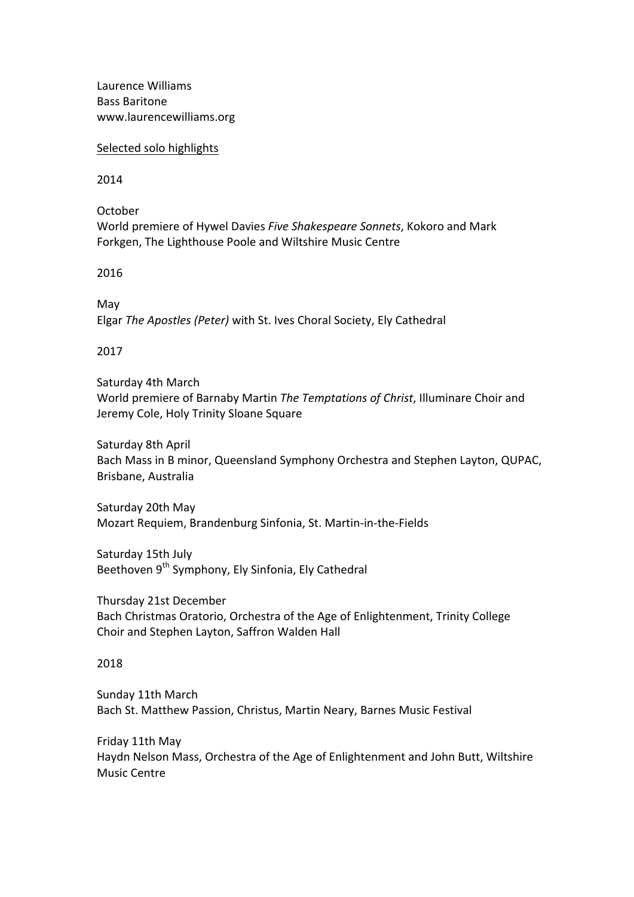Laurence Williams Bass Baritone www.laurencewilliams.org

Selected solo highlights

2014

October World premiere of Hywel Davies *Five Shakespeare Sonnets*, Kokoro and Mark Forkgen, The Lighthouse Poole and Wiltshire Music Centre

2016

May Elgar The Apostles (Peter) with St. Ives Choral Society, Ely Cathedral

## 2017

Saturday 4th March World premiere of Barnaby Martin *The Temptations of Christ*, Illuminare Choir and Jeremy Cole, Holy Trinity Sloane Square

Saturday 8th April Bach Mass in B minor, Queensland Symphony Orchestra and Stephen Layton, QUPAC, Brisbane, Australia

Saturday 20th May Mozart Requiem, Brandenburg Sinfonia, St. Martin-in-the-Fields

Saturday 15th July Beethoven 9<sup>th</sup> Symphony, Ely Sinfonia, Ely Cathedral

Thursday 21st December Bach Christmas Oratorio, Orchestra of the Age of Enlightenment, Trinity College Choir and Stephen Layton, Saffron Walden Hall

## 2018

Sunday 11th March Bach St. Matthew Passion, Christus, Martin Neary, Barnes Music Festival

Friday 11th May Haydn Nelson Mass, Orchestra of the Age of Enlightenment and John Butt, Wiltshire Music Centre